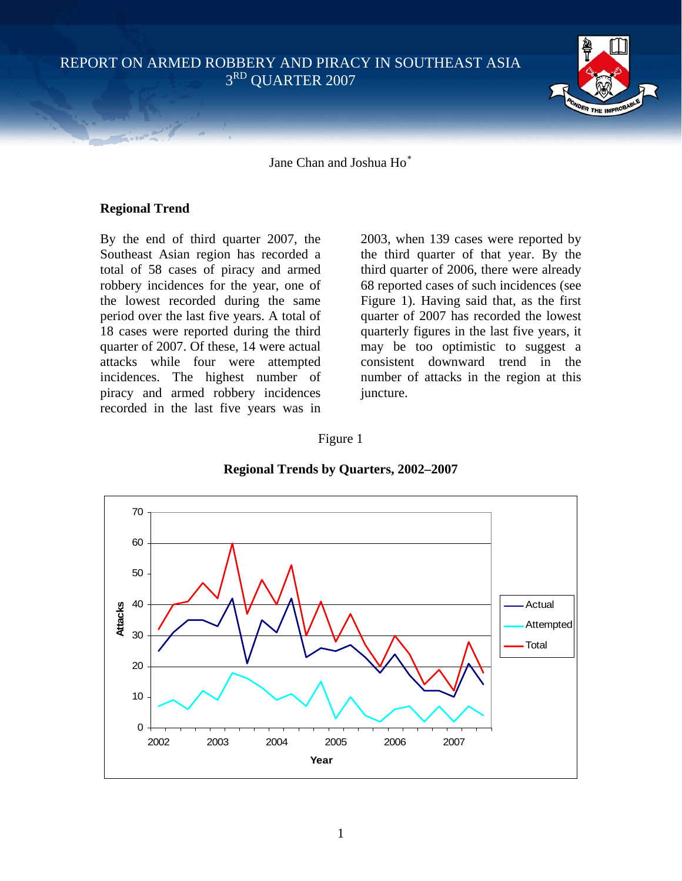REPORT ON ARMED ROBBERY AND PIRACY IN SOUTHEAST ASIA 3RD QUARTER 2007



Jane Chan and Joshua Ho[∗](#page-7-0)

### **Regional Trend**

By the end of third quarter 2007, the Southeast Asian region has recorded a total of 58 cases of piracy and armed robbery incidences for the year, one of the lowest recorded during the same period over the last five years. A total of 18 cases were reported during the third quarter of 2007. Of these, 14 were actual attacks while four were attempted incidences. The highest number of piracy and armed robbery incidences recorded in the last five years was in

2003, when 139 cases were reported by the third quarter of that year. By the third quarter of 2006, there were already 68 reported cases of such incidences (see Figure 1). Having said that, as the first quarter of 2007 has recorded the lowest quarterly figures in the last five years, it may be too optimistic to suggest a consistent downward trend in the number of attacks in the region at this juncture.

### Figure 1



### **Regional Trends by Quarters, 2002–2007**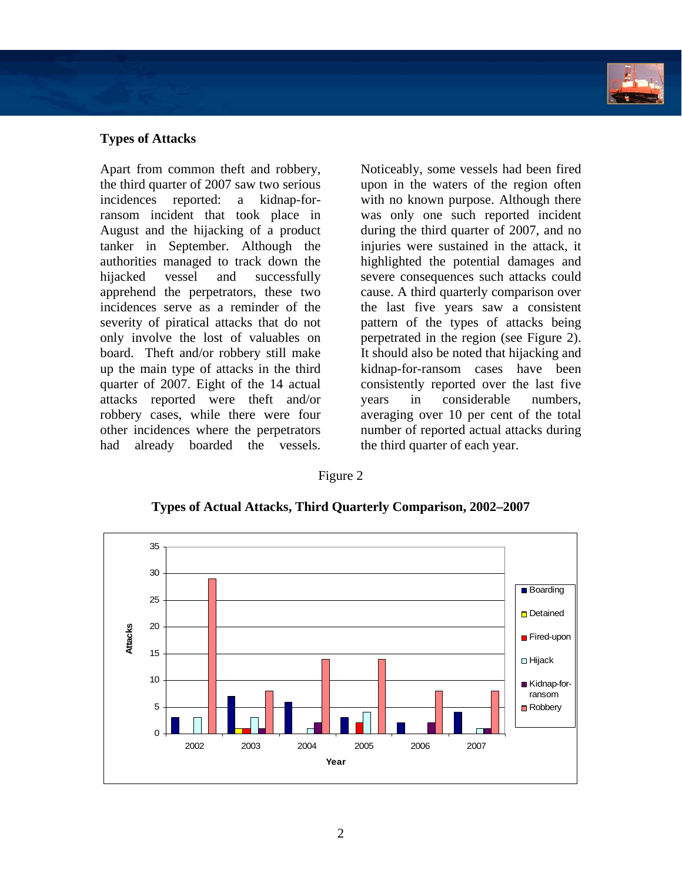

# **Types of Attacks**

Apart from common theft and robbery, the third quarter of 2007 saw two serious incidences reported: a kidnap-forransom incident that took place in August and the hijacking of a product tanker in September. Although the authorities managed to track down the hijacked vessel and successfully apprehend the perpetrators, these two incidences serve as a reminder of the severity of piratical attacks that do not only involve the lost of valuables on board. Theft and/or robbery still make up the main type of attacks in the third quarter of 2007. Eight of the 14 actual attacks reported were theft and/or robbery cases, while there were four other incidences where the perpetrators had already boarded the vessels.

Noticeably, some vessels had been fired upon in the waters of the region often with no known purpose. Although there was only one such reported incident during the third quarter of 2007, and no injuries were sustained in the attack, it highlighted the potential damages and severe consequences such attacks could cause. A third quarterly comparison over the last five years saw a consistent pattern of the types of attacks being perpetrated in the region (see Figure 2). It should also be noted that hijacking and kidnap-for-ransom cases have been consistently reported over the last five years in considerable numbers, averaging over 10 per cent of the total number of reported actual attacks during the third quarter of each year.

Figure 2



**Types of Actual Attacks, Third Quarterly Comparison, 2002–2007**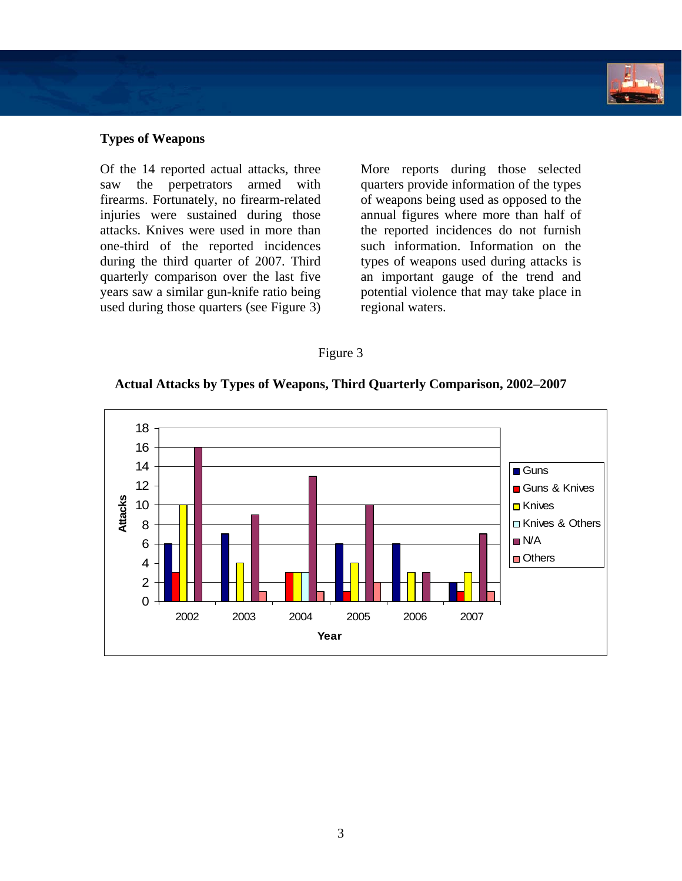

### **Types of Weapons**

Of the 14 reported actual attacks, three saw the perpetrators armed with firearms. Fortunately, no firearm-related injuries were sustained during those attacks. Knives were used in more than one-third of the reported incidences during the third quarter of 2007. Third quarterly comparison over the last five years saw a similar gun-knife ratio being used during those quarters (see Figure 3)

More reports during those selected quarters provide information of the types of weapons being used as opposed to the annual figures where more than half of the reported incidences do not furnish such information. Information on the types of weapons used during attacks is an important gauge of the trend and potential violence that may take place in regional waters.

### Figure 3

### **Actual Attacks by Types of Weapons, Third Quarterly Comparison, 2002–2007**

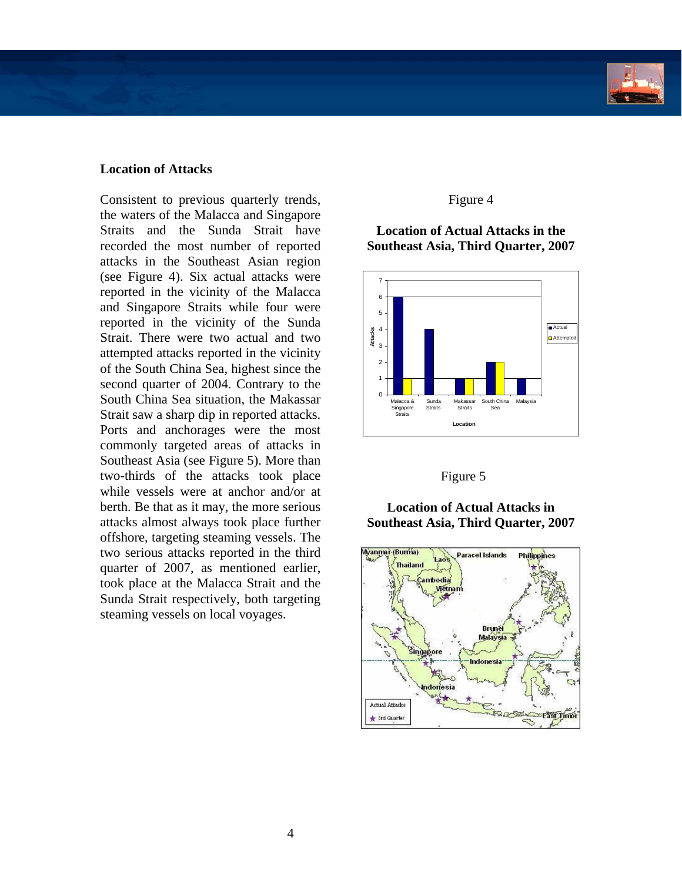### **Location of Attacks**

Consistent to previous quarterly trends, the waters of the Malacca and Singapore Straits and the Sunda Strait have recorded the most number of reported attacks in the Southeast Asian region (see Figure 4). Six actual attacks were reported in the vicinity of the Malacca and Singapore Straits while four were reported in the vicinity of the Sunda Strait. There were two actual and two attempted attacks reported in the vicinity of the South China Sea, highest since the second quarter of 2004. Contrary to the South China Sea situation, the Makassar Strait saw a sharp dip in reported attacks. Ports and anchorages were the most commonly targeted areas of attacks in Southeast Asia (see Figure 5). More than two-thirds of the attacks took place while vessels were at anchor and/or at berth. Be that as it may, the more serious attacks almost always took place further offshore, targeting steaming vessels. The two serious attacks reported in the third quarter of 2007, as mentioned earlier, took place at the Malacca Strait and the Sunda Strait respectively, both targeting steaming vessels on local voyages.

### Figure 4

## **Location of Actual Attacks in the Southeast Asia, Third Quarter, 2007**



### Figure 5

# **Location of Actual Attacks in Southeast Asia, Third Quarter, 2007**

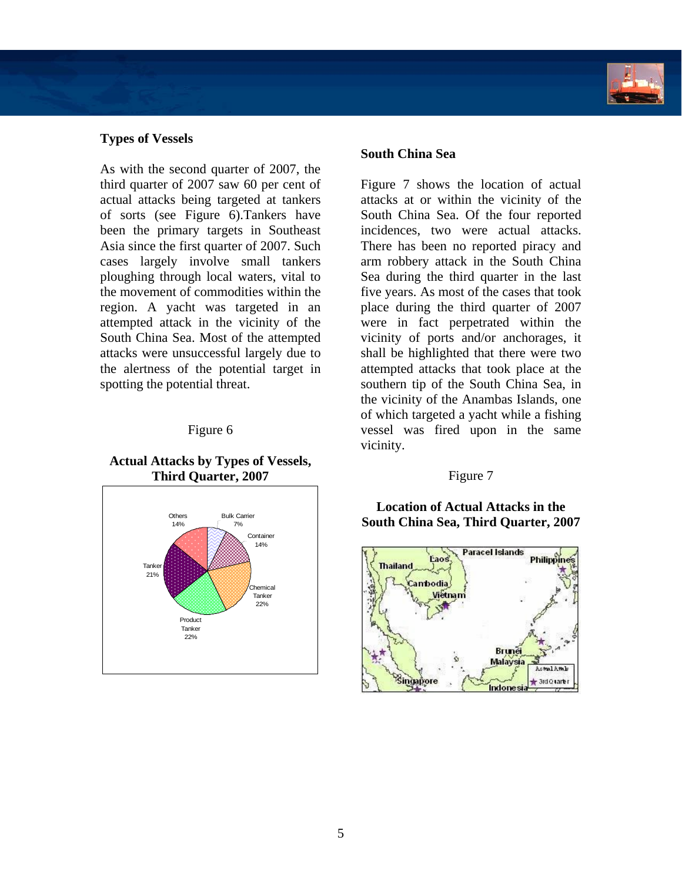### **Types of Vessels**

As with the second quarter of 2007, the third quarter of 2007 saw 60 per cent of actual attacks being targeted at tankers of sorts (see Figure 6).Tankers have been the primary targets in Southeast Asia since the first quarter of 2007. Such cases largely involve small tankers ploughing through local waters, vital to the movement of commodities within the region. A yacht was targeted in an attempted attack in the vicinity of the South China Sea. Most of the attempted attacks were unsuccessful largely due to the alertness of the potential target in spotting the potential threat.

### Figure 6

### **Actual Attacks by Types of Vessels, Third Quarter, 2007**



## **South China Sea**

Figure 7 shows the location of actual attacks at or within the vicinity of the South China Sea. Of the four reported incidences, two were actual attacks. There has been no reported piracy and arm robbery attack in the South China Sea during the third quarter in the last five years. As most of the cases that took place during the third quarter of 2007 were in fact perpetrated within the vicinity of ports and/or anchorages, it shall be highlighted that there were two attempted attacks that took place at the southern tip of the South China Sea, in the vicinity of the Anambas Islands, one of which targeted a yacht while a fishing vessel was fired upon in the same vicinity.

### Figure 7

**Location of Actual Attacks in the South China Sea, Third Quarter, 2007** 

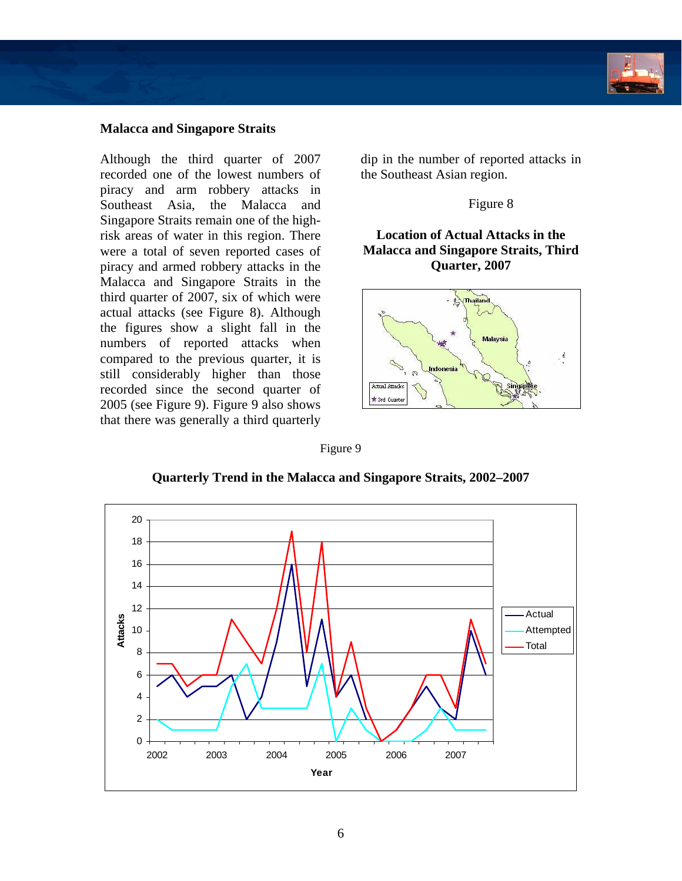

## **Malacca and Singapore Straits**

Although the third quarter of 2007 recorded one of the lowest numbers of piracy and arm robbery attacks in Southeast Asia, the Malacca and Singapore Straits remain one of the highrisk areas of water in this region. There were a total of seven reported cases of piracy and armed robbery attacks in the Malacca and Singapore Straits in the third quarter of 2007, six of which were actual attacks (see Figure 8). Although the figures show a slight fall in the numbers of reported attacks when compared to the previous quarter, it is still considerably higher than those recorded since the second quarter of 2005 (see Figure 9). Figure 9 also shows that there was generally a third quarterly

dip in the number of reported attacks in the Southeast Asian region.

Figure 8

# **Location of Actual Attacks in the Malacca and Singapore Straits, Third Quarter, 2007**



Figure 9



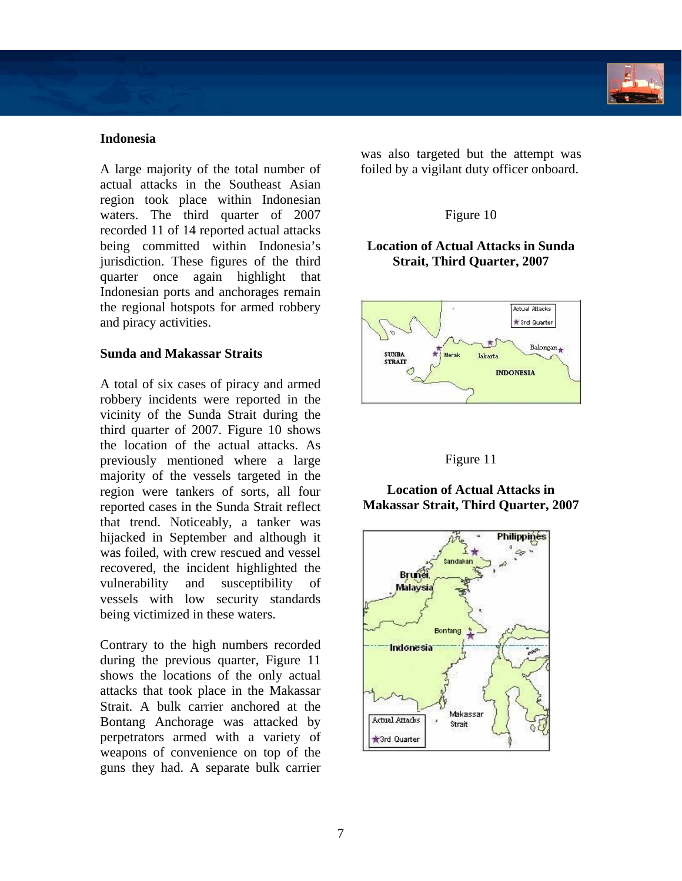## **Indonesia**

A large majority of the total number of actual attacks in the Southeast Asian region took place within Indonesian waters. The third quarter of 2007 recorded 11 of 14 reported actual attacks being committed within Indonesia's jurisdiction. These figures of the third quarter once again highlight that Indonesian ports and anchorages remain the regional hotspots for armed robbery and piracy activities.

### **Sunda and Makassar Straits**

A total of six cases of piracy and armed robbery incidents were reported in the vicinity of the Sunda Strait during the third quarter of 2007. Figure 10 shows the location of the actual attacks. As previously mentioned where a large majority of the vessels targeted in the region were tankers of sorts, all four reported cases in the Sunda Strait reflect that trend. Noticeably, a tanker was hijacked in September and although it was foiled, with crew rescued and vessel recovered, the incident highlighted the vulnerability and susceptibility of vessels with low security standards being victimized in these waters.

Contrary to the high numbers recorded during the previous quarter, Figure 11 shows the locations of the only actual attacks that took place in the Makassar Strait. A bulk carrier anchored at the Bontang Anchorage was attacked by perpetrators armed with a variety of weapons of convenience on top of the guns they had. A separate bulk carrier

was also targeted but the attempt was foiled by a vigilant duty officer onboard.

# Figure 10

## **Location of Actual Attacks in Sunda Strait, Third Quarter, 2007**



# Figure 11

### **Location of Actual Attacks in Makassar Strait, Third Quarter, 2007**